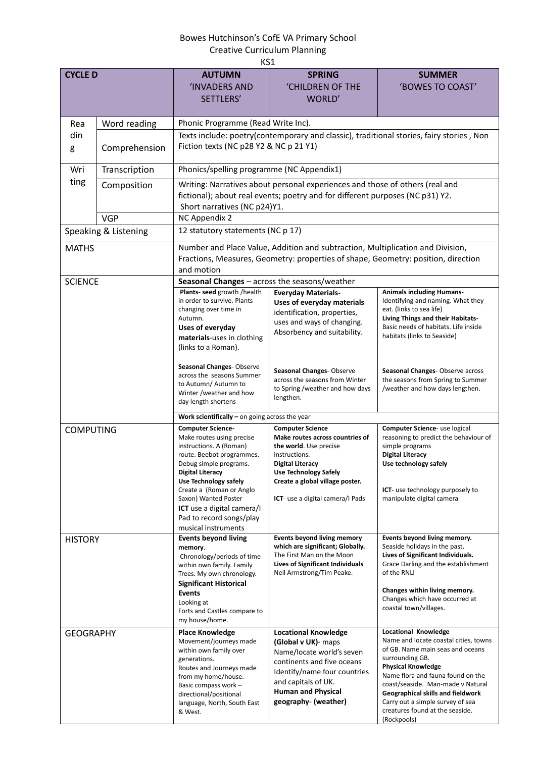## Bowes Hutchinson's CofE VA Primary School Creative Curriculum Planning

| KS1                  |               |                                                                                                                                                                                                                                                                                                                                                |                                                                                                                                                                                                                                  |                                                                                                                                                                                                                                                                                                                                                                      |  |  |  |
|----------------------|---------------|------------------------------------------------------------------------------------------------------------------------------------------------------------------------------------------------------------------------------------------------------------------------------------------------------------------------------------------------|----------------------------------------------------------------------------------------------------------------------------------------------------------------------------------------------------------------------------------|----------------------------------------------------------------------------------------------------------------------------------------------------------------------------------------------------------------------------------------------------------------------------------------------------------------------------------------------------------------------|--|--|--|
| <b>CYCLE D</b>       |               | <b>AUTUMN</b>                                                                                                                                                                                                                                                                                                                                  | <b>SPRING</b>                                                                                                                                                                                                                    | <b>SUMMER</b>                                                                                                                                                                                                                                                                                                                                                        |  |  |  |
|                      |               | <b>INVADERS AND</b><br>SETTLERS'                                                                                                                                                                                                                                                                                                               | <b>'CHILDREN OF THE</b><br>WORLD'                                                                                                                                                                                                | 'BOWES TO COAST'                                                                                                                                                                                                                                                                                                                                                     |  |  |  |
| Rea                  | Word reading  | Phonic Programme (Read Write Inc).                                                                                                                                                                                                                                                                                                             |                                                                                                                                                                                                                                  |                                                                                                                                                                                                                                                                                                                                                                      |  |  |  |
| din<br>g             | Comprehension | Texts include: poetry(contemporary and classic), traditional stories, fairy stories, Non<br>Fiction texts (NC p28 Y2 & NC p 21 Y1)                                                                                                                                                                                                             |                                                                                                                                                                                                                                  |                                                                                                                                                                                                                                                                                                                                                                      |  |  |  |
| Wri                  | Transcription | Phonics/spelling programme (NC Appendix1)                                                                                                                                                                                                                                                                                                      |                                                                                                                                                                                                                                  |                                                                                                                                                                                                                                                                                                                                                                      |  |  |  |
| ting                 | Composition   | Writing: Narratives about personal experiences and those of others (real and<br>fictional); about real events; poetry and for different purposes (NC p31) Y2.<br>Short narratives (NC p24)Y1.                                                                                                                                                  |                                                                                                                                                                                                                                  |                                                                                                                                                                                                                                                                                                                                                                      |  |  |  |
|                      | <b>VGP</b>    | NC Appendix 2                                                                                                                                                                                                                                                                                                                                  |                                                                                                                                                                                                                                  |                                                                                                                                                                                                                                                                                                                                                                      |  |  |  |
| Speaking & Listening |               | 12 statutory statements (NC p 17)                                                                                                                                                                                                                                                                                                              |                                                                                                                                                                                                                                  |                                                                                                                                                                                                                                                                                                                                                                      |  |  |  |
| <b>MATHS</b>         |               | Number and Place Value, Addition and subtraction, Multiplication and Division,<br>Fractions, Measures, Geometry: properties of shape, Geometry: position, direction<br>and motion                                                                                                                                                              |                                                                                                                                                                                                                                  |                                                                                                                                                                                                                                                                                                                                                                      |  |  |  |
| <b>SCIENCE</b>       |               | Seasonal Changes - across the seasons/weather                                                                                                                                                                                                                                                                                                  |                                                                                                                                                                                                                                  |                                                                                                                                                                                                                                                                                                                                                                      |  |  |  |
|                      |               | Plants- seed growth /health<br>in order to survive. Plants<br>changing over time in<br>Autumn.<br>Uses of everyday<br>materials-uses in clothing<br>(links to a Roman).                                                                                                                                                                        | <b>Everyday Materials-</b><br>Uses of everyday materials<br>identification, properties,<br>uses and ways of changing.<br>Absorbency and suitability.                                                                             | <b>Animals including Humans-</b><br>Identifying and naming. What they<br>eat. (links to sea life)<br>Living Things and their Habitats-<br>Basic needs of habitats. Life inside<br>habitats (links to Seaside)                                                                                                                                                        |  |  |  |
|                      |               | Seasonal Changes-Observe<br>across the seasons Summer<br>to Autumn/ Autumn to<br>Winter /weather and how<br>day length shortens                                                                                                                                                                                                                | Seasonal Changes-Observe<br>across the seasons from Winter<br>to Spring /weather and how days<br>lengthen.                                                                                                                       | Seasonal Changes-Observe across<br>the seasons from Spring to Summer<br>/weather and how days lengthen.                                                                                                                                                                                                                                                              |  |  |  |
|                      |               | Work scientifically $-$ on going across the year                                                                                                                                                                                                                                                                                               |                                                                                                                                                                                                                                  |                                                                                                                                                                                                                                                                                                                                                                      |  |  |  |
| <b>COMPUTING</b>     |               | <b>Computer Science-</b><br>Make routes using precise<br>instructions. A (Roman)<br>route. Beebot programmes.<br>Debug simple programs.<br><b>Digital Literacy</b><br><b>Use Technology safely</b><br>Create a (Roman or Anglo<br>Saxon) Wanted Poster<br><b>ICT</b> use a digital camera/I<br>Pad to record songs/play<br>musical instruments | <b>Computer Science</b><br>Make routes across countries of<br>the world. Use precise<br>instructions.<br>Digital Literacy<br><b>Use Technology Safely</b><br>Create a global village poster.<br>ICT- use a digital camera/I Pads | Computer Science- use logical<br>reasoning to predict the behaviour of<br>simple programs<br><b>Digital Literacy</b><br>Use technology safely<br><b>ICT</b> - use technology purposely to<br>manipulate digital camera                                                                                                                                               |  |  |  |
| <b>HISTORY</b>       |               | <b>Events beyond living</b><br>memory.<br>Chronology/periods of time<br>within own family. Family<br>Trees. My own chronology.<br><b>Significant Historical</b><br><b>Events</b><br>Looking at<br>Forts and Castles compare to<br>my house/home.                                                                                               | <b>Events beyond living memory</b><br>which are significant; Globally.<br>The First Man on the Moon<br>Lives of Significant Individuals<br>Neil Armstrong/Tim Peake.                                                             | Events beyond living memory.<br>Seaside holidays in the past.<br>Lives of Significant Individuals.<br>Grace Darling and the establishment<br>of the RNLI<br>Changes within living memory.<br>Changes which have occurred at<br>coastal town/villages.                                                                                                                |  |  |  |
| <b>GEOGRAPHY</b>     |               | <b>Place Knowledge</b><br>Movement/journeys made<br>within own family over<br>generations.<br>Routes and Journeys made<br>from my home/house.<br>Basic compass work -<br>directional/positional<br>language, North, South East<br>& West.                                                                                                      | <b>Locational Knowledge</b><br>(Global v UK)- maps<br>Name/locate world's seven<br>continents and five oceans<br>Identify/name four countries<br>and capitals of UK.<br><b>Human and Physical</b><br>geography- (weather)        | <b>Locational Knowledge</b><br>Name and locate coastal cities, towns<br>of GB. Name main seas and oceans<br>surrounding GB.<br><b>Physical Knowledge</b><br>Name flora and fauna found on the<br>coast/seaside. Man-made v Natural<br><b>Geographical skills and fieldwork</b><br>Carry out a simple survey of sea<br>creatures found at the seaside.<br>(Rockpools) |  |  |  |